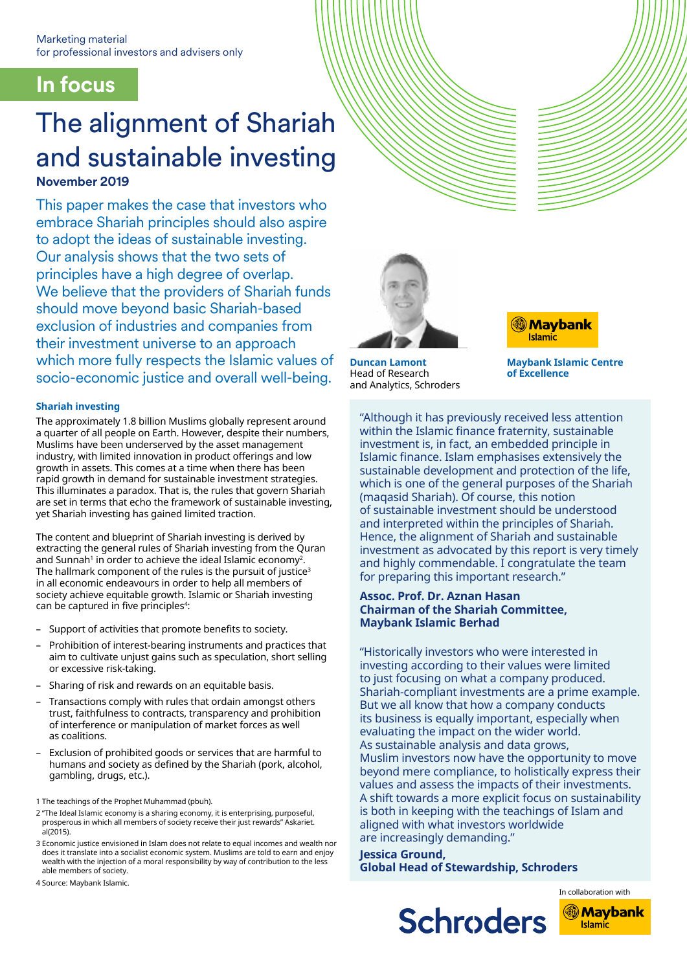# **In focus**

# The alignment of Shariah and sustainable investing

# **November 2019**

This paper makes the case that investors who embrace Shariah principles should also aspire to adopt the ideas of sustainable investing. Our analysis shows that the two sets of principles have a high degree of overlap. We believe that the providers of Shariah funds should move beyond basic Shariah-based exclusion of industries and companies from their investment universe to an approach which more fully respects the Islamic values of socio-economic justice and overall well-being.

# **Shariah investing**

The approximately 1.8 billion Muslims globally represent around a quarter of all people on Earth. However, despite their numbers, Muslims have been underserved by the asset management industry, with limited innovation in product offerings and low growth in assets. This comes at a time when there has been rapid growth in demand for sustainable investment strategies. This illuminates a paradox. That is, the rules that govern Shariah are set in terms that echo the framework of sustainable investing, yet Shariah investing has gained limited traction.

The content and blueprint of Shariah investing is derived by extracting the general rules of Shariah investing from the Quran and Sunnah<sup>1</sup> in order to achieve the ideal Islamic economy<sup>2</sup>. The hallmark component of the rules is the pursuit of justice<sup>3</sup> in all economic endeavours in order to help all members of society achieve equitable growth. Islamic or Shariah investing can be captured in five principles<sup>4</sup>:

- Support of activities that promote benefits to society.
- Prohibition of interest-bearing instruments and practices that aim to cultivate unjust gains such as speculation, short selling or excessive risk-taking.
- Sharing of risk and rewards on an equitable basis.
- Transactions comply with rules that ordain amongst others trust, faithfulness to contracts, transparency and prohibition of interference or manipulation of market forces as well as coalitions.
- Ȃ Exclusion of prohibited goods or services that are harmful to humans and society as defined by the Shariah (pork, alcohol, gambling, drugs, etc.).

1 The teachings of the Prophet Muhammad (pbuh).

- 2 "The Ideal Islamic economy is a sharing economy, it is enterprising, purposeful, prosperous in which all members of society receive their just rewards" Askariet. al(2015).
- 3 Economic justice envisioned in Islam does not relate to equal incomes and wealth nor does it translate into a socialist economic system. Muslims are told to earn and enjoy wealth with the injection of a moral responsibility by way of contribution to the less able members of society.

4 Source: Maybank Islamic.



**Duncan Lamont** Head of Research and Analytics, Schroders



**Maybank Islamic Centre of Excellence**

"Although it has previously received less attention within the Islamic finance fraternity, sustainable investment is, in fact, an embedded principle in Islamic finance. Islam emphasises extensively the sustainable development and protection of the life, which is one of the general purposes of the Shariah (maqasid Shariah). Of course, this notion of sustainable investment should be understood and interpreted within the principles of Shariah. Hence, the alignment of Shariah and sustainable investment as advocated by this report is very timely and highly commendable. I congratulate the team for preparing this important research."

# **Assoc. Prof. Dr. Aznan Hasan Chairman of the Shariah Committee, Maybank Islamic Berhad**

"Historically investors who were interested in investing according to their values were limited to just focusing on what a company produced. Shariah-compliant investments are a prime example. But we all know that how a company conducts its business is equally important, especially when evaluating the impact on the wider world. As sustainable analysis and data grows, Muslim investors now have the opportunity to move beyond mere compliance, to holistically express their values and assess the impacts of their investments. A shift towards a more explicit focus on sustainability is both in keeping with the teachings of Islam and aligned with what investors worldwide are increasingly demanding."

**Jessica Ground, Global Head of Stewardship, Schroders**

**Schroders** 



**Islamic**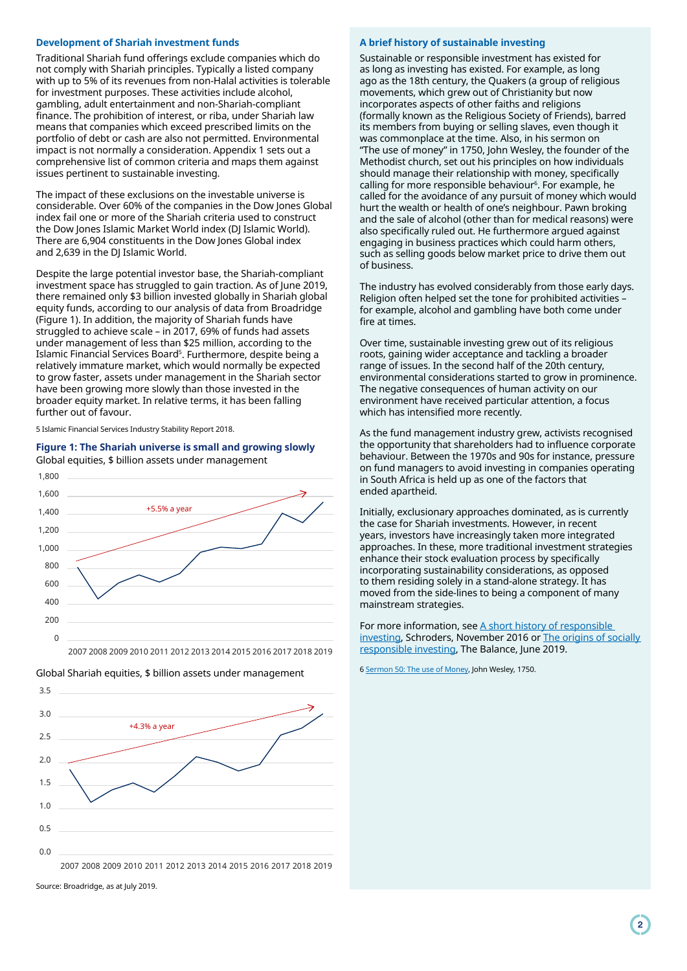## **Development of Shariah investment funds**

Traditional Shariah fund offerings exclude companies which do not comply with Shariah principles. Typically a listed company with up to 5% of its revenues from non-Halal activities is tolerable for investment purposes. These activities include alcohol, gambling, adult entertainment and non-Shariah-compliant finance. The prohibition of interest, or riba, under Shariah law means that companies which exceed prescribed limits on the portfolio of debt or cash are also not permitted. Environmental impact is not normally a consideration. Appendix 1 sets out a comprehensive list of common criteria and maps them against issues pertinent to sustainable investing.

The impact of these exclusions on the investable universe is considerable. Over 60% of the companies in the Dow Jones Global index fail one or more of the Shariah criteria used to construct the Dow Jones Islamic Market World index (DJ Islamic World). There are 6,904 constituents in the Dow Jones Global index and 2,639 in the DJ Islamic World.

Despite the large potential investor base, the Shariah-compliant investment space has struggled to gain traction. As of June 2019, there remained only \$3 billion invested globally in Shariah global equity funds, according to our analysis of data from Broadridge (Figure 1). In addition, the majority of Shariah funds have struggled to achieve scale – in 2017, 69% of funds had assets under management of less than \$25 million, according to the Islamic Financial Services Board<sup>s</sup>. Furthermore, despite being a relatively immature market, which would normally be expected to grow faster, assets under management in the Shariah sector have been growing more slowly than those invested in the broader equity market. In relative terms, it has been falling further out of favour.

5 Islamic Financial Services Industry Stability Report 2018.

## **Figure 1: The Shariah universe is small and growing slowly** Global equities, \$ billion assets under management



 $0.0$ 0.5 1.0 1.5 2.0  $2.5$ 3.0 3.5 2007 2008 2009 2010 2011 2012 2013 2014 2015 2016 2017 2018 2019 +4.3% a year

#### Global Shariah equities, \$ billion assets under management

Source: Broadridge, as at July 2019.

# **A brief history of sustainable investing**

Sustainable or responsible investment has existed for as long as investing has existed. For example, as long ago as the 18th century, the Quakers (a group of religious movements, which grew out of Christianity but now incorporates aspects of other faiths and religions (formally known as the Religious Society of Friends), barred its members from buying or selling slaves, even though it was commonplace at the time. Also, in his sermon on "The use of money" in 1750, John Wesley, the founder of the Methodist church, set out his principles on how individuals should manage their relationship with money, specifically calling for more responsible behaviour<sup>6</sup>. For example, he called for the avoidance of any pursuit of money which would hurt the wealth or health of one's neighbour. Pawn broking and the sale of alcohol (other than for medical reasons) were also specifically ruled out. He furthermore argued against engaging in business practices which could harm others, such as selling goods below market price to drive them out of business.

The industry has evolved considerably from those early days. Religion often helped set the tone for prohibited activities – for example, alcohol and gambling have both come under fire at times.

Over time, sustainable investing grew out of its religious roots, gaining wider acceptance and tackling a broader range of issues. In the second half of the 20th century, environmental considerations started to grow in prominence. The negative consequences of human activity on our environment have received particular attention, a focus which has intensified more recently.

As the fund management industry grew, activists recognised the opportunity that shareholders had to influence corporate behaviour. Between the 1970s and 90s for instance, pressure on fund managers to avoid investing in companies operating in South Africa is held up as one of the factors that ended apartheid.

Initially, exclusionary approaches dominated, as is currently the case for Shariah investments. However, in recent years, investors have increasingly taken more integrated approaches. In these, more traditional investment strategies enhance their stock evaluation process by specifically incorporating sustainability considerations, as opposed to them residing solely in a stand-alone strategy. It has moved from the side-lines to being a component of many mainstream strategies.

For more information, see A short history of responsible [investing](https://www.schroders.com/en/insights/global-investor-study/a-short-history-of-responsible-investing-300-0001/), Schroders, November 2016 or [The origins of socially](https://www.thebalance.com/a-short-history-of-socially-responsible-investing-3025578)  [responsible investing](https://www.thebalance.com/a-short-history-of-socially-responsible-investing-3025578), The Balance, June 2019.

6 [Sermon 50: The use of Money,](https://www.whdl.org/sites/default/files/publications/EN_John_Wesley_050_use_of_money.pdf) John Wesley, 1750.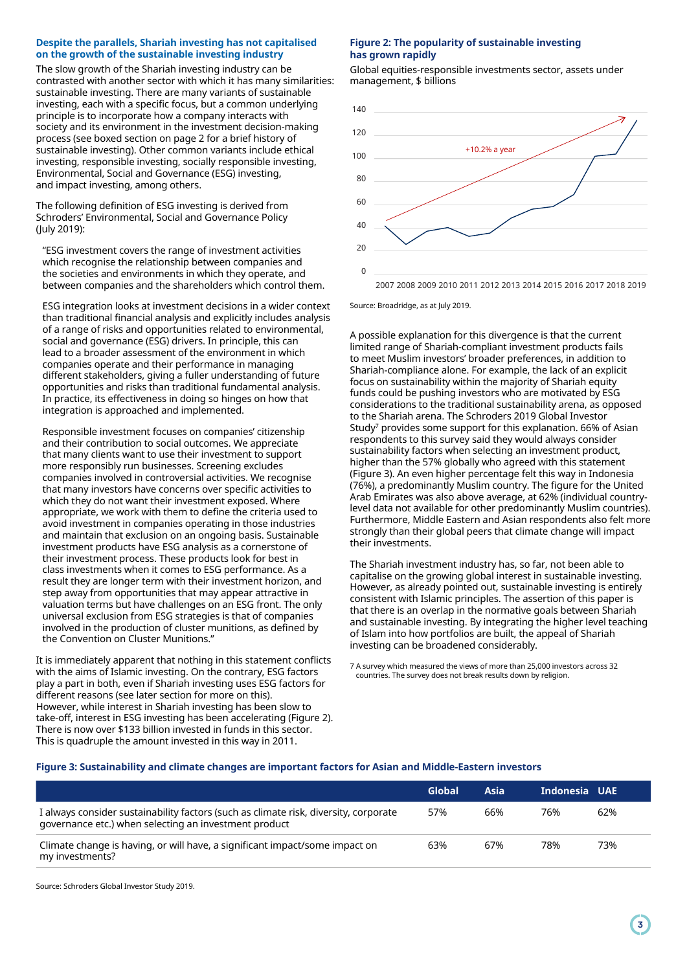# **Despite the parallels, Shariah investing has not capitalised on the growth of the sustainable investing industry**

The slow growth of the Shariah investing industry can be contrasted with another sector with which it has many similarities: sustainable investing. There are many variants of sustainable investing, each with a specific focus, but a common underlying principle is to incorporate how a company interacts with society and its environment in the investment decision-making process (see boxed section on page 2 for a brief history of sustainable investing). Other common variants include ethical investing, responsible investing, socially responsible investing, Environmental, Social and Governance (ESG) investing, and impact investing, among others.

The following definition of ESG investing is derived from Schroders' Environmental, Social and Governance Policy (July 2019):

"ESG investment covers the range of investment activities which recognise the relationship between companies and the societies and environments in which they operate, and between companies and the shareholders which control them.

ESG integration looks at investment decisions in a wider context than traditional financial analysis and explicitly includes analysis of a range of risks and opportunities related to environmental, social and governance (ESG) drivers. In principle, this can lead to a broader assessment of the environment in which companies operate and their performance in managing different stakeholders, giving a fuller understanding of future opportunities and risks than traditional fundamental analysis. In practice, its effectiveness in doing so hinges on how that integration is approached and implemented.

Responsible investment focuses on companies' citizenship and their contribution to social outcomes. We appreciate that many clients want to use their investment to support more responsibly run businesses. Screening excludes companies involved in controversial activities. We recognise that many investors have concerns over specific activities to which they do not want their investment exposed. Where appropriate, we work with them to define the criteria used to avoid investment in companies operating in those industries and maintain that exclusion on an ongoing basis. Sustainable investment products have ESG analysis as a cornerstone of their investment process. These products look for best in class investments when it comes to ESG performance. As a result they are longer term with their investment horizon, and step away from opportunities that may appear attractive in valuation terms but have challenges on an ESG front. The only universal exclusion from ESG strategies is that of companies involved in the production of cluster munitions, as defined by the Convention on Cluster Munitions."

It is immediately apparent that nothing in this statement conflicts with the aims of Islamic investing. On the contrary, ESG factors play a part in both, even if Shariah investing uses ESG factors for different reasons (see later section for more on this). However, while interest in Shariah investing has been slow to take-off, interest in ESG investing has been accelerating (Figure 2). There is now over \$133 billion invested in funds in this sector. This is quadruple the amount invested in this way in 2011.

# **Figure 2: The popularity of sustainable investing has grown rapidly**

Global equities-responsible investments sector, assets under management, \$ billions



Source: Broadridge, as at July 2019.

A possible explanation for this divergence is that the current limited range of Shariah-compliant investment products fails to meet Muslim investors' broader preferences, in addition to Shariah-compliance alone. For example, the lack of an explicit focus on sustainability within the majority of Shariah equity funds could be pushing investors who are motivated by ESG considerations to the traditional sustainability arena, as opposed to the Shariah arena. The Schroders 2019 Global Investor Study<sup>7</sup> provides some support for this explanation. 66% of Asian respondents to this survey said they would always consider sustainability factors when selecting an investment product, higher than the 57% globally who agreed with this statement (Figure 3). An even higher percentage felt this way in Indonesia (76%), a predominantly Muslim country. The figure for the United Arab Emirates was also above average, at 62% (individual countrylevel data not available for other predominantly Muslim countries). Furthermore, Middle Eastern and Asian respondents also felt more strongly than their global peers that climate change will impact their investments.

The Shariah investment industry has, so far, not been able to capitalise on the growing global interest in sustainable investing. However, as already pointed out, sustainable investing is entirely consistent with Islamic principles. The assertion of this paper is that there is an overlap in the normative goals between Shariah and sustainable investing. By integrating the higher level teaching of Islam into how portfolios are built, the appeal of Shariah investing can be broadened considerably.

7 A survey which measured the views of more than 25,000 investors across 32 countries. The survey does not break results down by religion.

# **Figure 3: Sustainability and climate changes are important factors for Asian and Middle-Eastern investors**

|                                                                                                                                               | Global | Asia | Indonesia UAE |     |
|-----------------------------------------------------------------------------------------------------------------------------------------------|--------|------|---------------|-----|
| I always consider sustainability factors (such as climate risk, diversity, corporate<br>governance etc.) when selecting an investment product | 57%    | 66%  | 76%           | 62% |
| Climate change is having, or will have, a significant impact/some impact on<br>my investments?                                                | 63%    | 67%  | 78%           | 73% |

Source: Schroders Global Investor Study 2019.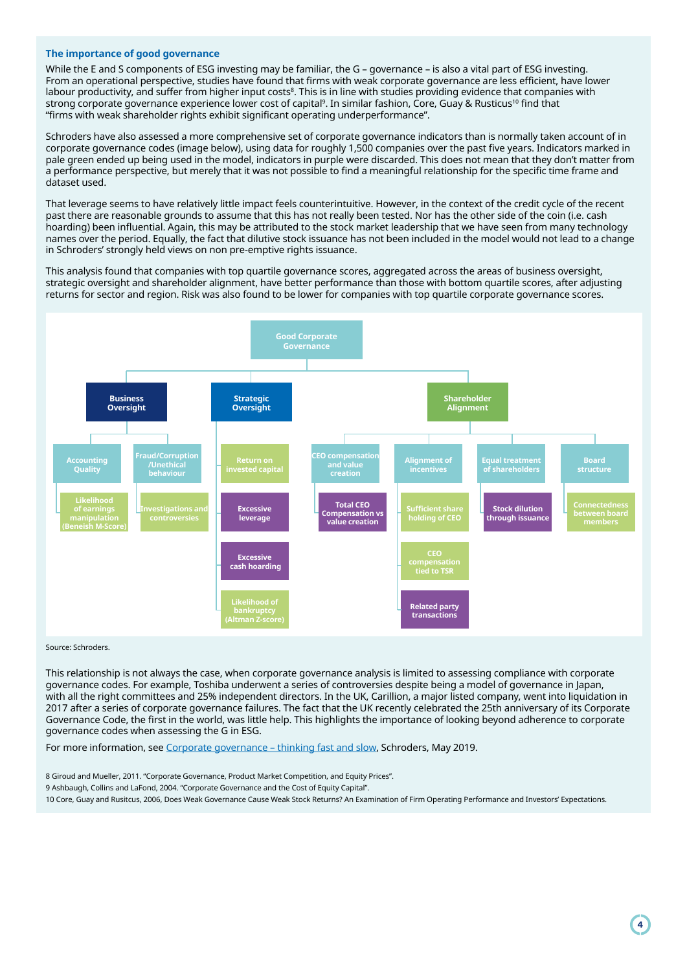# **The importance of good governance**

While the E and S components of ESG investing may be familiar, the G – governance – is also a vital part of ESG investing. From an operational perspective, studies have found that firms with weak corporate governance are less efficient, have lower labour productivity, and suffer from higher input costs<sup>8</sup>. This is in line with studies providing evidence that companies with strong corporate governance experience lower cost of capital<sup>9</sup>. In similar fashion, Core, Guay & Rusticus<sup>10</sup> find that "firms with weak shareholder rights exhibit significant operating underperformance".

Schroders have also assessed a more comprehensive set of corporate governance indicators than is normally taken account of in corporate governance codes (image below), using data for roughly 1,500 companies over the past five years. Indicators marked in pale green ended up being used in the model, indicators in purple were discarded. This does not mean that they don't matter from a performance perspective, but merely that it was not possible to find a meaningful relationship for the specific time frame and dataset used.

That leverage seems to have relatively little impact feels counterintuitive. However, in the context of the credit cycle of the recent past there are reasonable grounds to assume that this has not really been tested. Nor has the other side of the coin (i.e. cash hoarding) been influential. Again, this may be attributed to the stock market leadership that we have seen from many technology names over the period. Equally, the fact that dilutive stock issuance has not been included in the model would not lead to a change in Schroders' strongly held views on non pre-emptive rights issuance.

This analysis found that companies with top quartile governance scores, aggregated across the areas of business oversight, strategic oversight and shareholder alignment, have better performance than those with bottom quartile scores, after adjusting returns for sector and region. Risk was also found to be lower for companies with top quartile corporate governance scores.



#### Source: Schroders.

This relationship is not always the case, when corporate governance analysis is limited to assessing compliance with corporate governance codes. For example, Toshiba underwent a series of controversies despite being a model of governance in Japan, with all the right committees and 25% independent directors. In the UK, Carillion, a major listed company, went into liquidation in 2017 after a series of corporate governance failures. The fact that the UK recently celebrated the 25th anniversary of its Corporate Governance Code, the first in the world, was little help. This highlights the importance of looking beyond adherence to corporate governance codes when assessing the G in ESG.

For more information, see [Corporate governance – thinking fast and slow](https://www.schroders.com/en/lu/professional-investor/insights/markets/corporate-governance-thinking-fast-and-slow/), Schroders, May 2019.

8 Giroud and Mueller, 2011. "Corporate Governance, Product Market Competition, and Equity Prices". 9 Ashbaugh, Collins and LaFond, 2004. "Corporate Governance and the Cost of Equity Capital". 10 Core, Guay and Rusitcus, 2006, Does Weak Governance Cause Weak Stock Returns? An Examination of Firm Operating Performance and Investors' Expectations.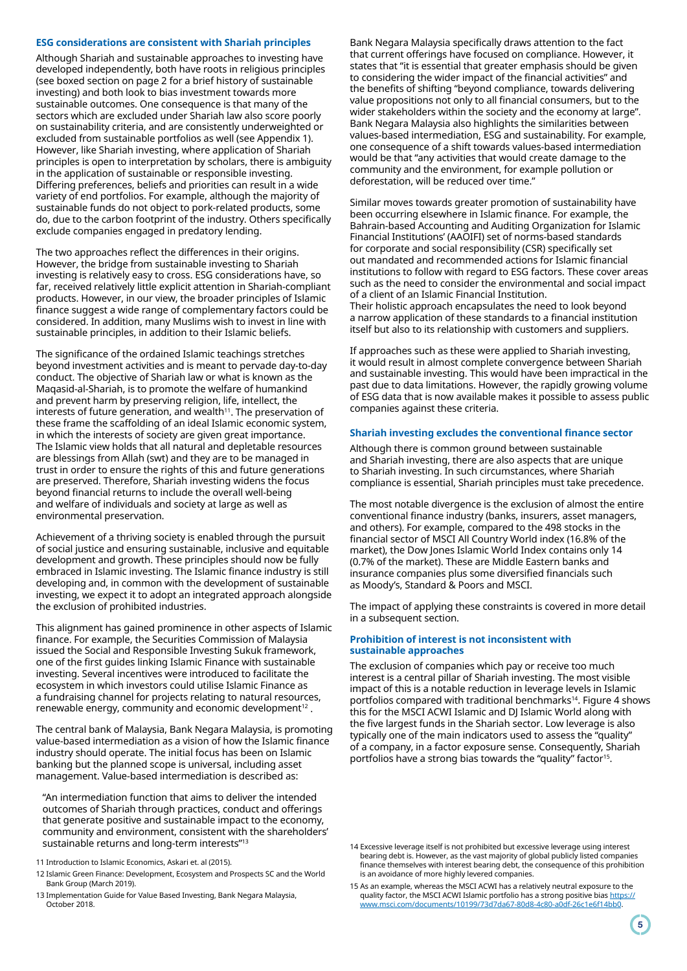#### **ESG considerations are consistent with Shariah principles**

Although Shariah and sustainable approaches to investing have developed independently, both have roots in religious principles (see boxed section on page 2 for a brief history of sustainable investing) and both look to bias investment towards more sustainable outcomes. One consequence is that many of the sectors which are excluded under Shariah law also score poorly on sustainability criteria, and are consistently underweighted or excluded from sustainable portfolios as well (see Appendix 1). However, like Shariah investing, where application of Shariah principles is open to interpretation by scholars, there is ambiguity in the application of sustainable or responsible investing. Differing preferences, beliefs and priorities can result in a wide variety of end portfolios. For example, although the majority of sustainable funds do not object to pork-related products, some do, due to the carbon footprint of the industry. Others specifically exclude companies engaged in predatory lending.

The two approaches reflect the differences in their origins. However, the bridge from sustainable investing to Shariah investing is relatively easy to cross. ESG considerations have, so far, received relatively little explicit attention in Shariah-compliant products. However, in our view, the broader principles of Islamic finance suggest a wide range of complementary factors could be considered. In addition, many Muslims wish to invest in line with sustainable principles, in addition to their Islamic beliefs.

The significance of the ordained Islamic teachings stretches beyond investment activities and is meant to pervade day-to-day conduct. The objective of Shariah law or what is known as the Maqasid-al-Shariah, is to promote the welfare of humankind and prevent harm by preserving religion, life, intellect, the interests of future generation, and wealth<sup>11</sup>. The preservation of these frame the scaffolding of an ideal Islamic economic system, in which the interests of society are given great importance. The Islamic view holds that all natural and depletable resources are blessings from Allah (swt) and they are to be managed in trust in order to ensure the rights of this and future generations are preserved. Therefore, Shariah investing widens the focus beyond financial returns to include the overall well-being and welfare of individuals and society at large as well as environmental preservation.

Achievement of a thriving society is enabled through the pursuit of social justice and ensuring sustainable, inclusive and equitable development and growth. These principles should now be fully embraced in Islamic investing. The Islamic finance industry is still developing and, in common with the development of sustainable investing, we expect it to adopt an integrated approach alongside the exclusion of prohibited industries.

This alignment has gained prominence in other aspects of Islamic finance. For example, the Securities Commission of Malaysia issued the Social and Responsible Investing Sukuk framework, one of the first guides linking Islamic Finance with sustainable investing. Several incentives were introduced to facilitate the ecosystem in which investors could utilise Islamic Finance as a fundraising channel for projects relating to natural resources, renewable energy, community and economic development<sup>12</sup>.

The central bank of Malaysia, Bank Negara Malaysia, is promoting value-based intermediation as a vision of how the Islamic finance industry should operate. The initial focus has been on Islamic banking but the planned scope is universal, including asset management. Value-based intermediation is described as:

"An intermediation function that aims to deliver the intended outcomes of Shariah through practices, conduct and offerings that generate positive and sustainable impact to the economy, community and environment, consistent with the shareholders' sustainable returns and long-term interests"13

Bank Negara Malaysia specifically draws attention to the fact that current offerings have focused on compliance. However, it states that "it is essential that greater emphasis should be given to considering the wider impact of the financial activities" and the benefits of shifting "beyond compliance, towards delivering value propositions not only to all financial consumers, but to the wider stakeholders within the society and the economy at large". Bank Negara Malaysia also highlights the similarities between values-based intermediation, ESG and sustainability. For example, one consequence of a shift towards values-based intermediation would be that "any activities that would create damage to the community and the environment, for example pollution or deforestation, will be reduced over time."

Similar moves towards greater promotion of sustainability have been occurring elsewhere in Islamic finance. For example, the Bahrain-based Accounting and Auditing Organization for Islamic Financial Institutions' (AAOIFI) set of norms-based standards for corporate and social responsibility (CSR) specifically set out mandated and recommended actions for Islamic financial institutions to follow with regard to ESG factors. These cover areas such as the need to consider the environmental and social impact of a client of an Islamic Financial Institution.

Their holistic approach encapsulates the need to look beyond a narrow application of these standards to a financial institution itself but also to its relationship with customers and suppliers.

If approaches such as these were applied to Shariah investing, it would result in almost complete convergence between Shariah and sustainable investing. This would have been impractical in the past due to data limitations. However, the rapidly growing volume of ESG data that is now available makes it possible to assess public companies against these criteria.

#### **Shariah investing excludes the conventional finance sector**

Although there is common ground between sustainable and Shariah investing, there are also aspects that are unique to Shariah investing. In such circumstances, where Shariah compliance is essential, Shariah principles must take precedence.

The most notable divergence is the exclusion of almost the entire conventional finance industry (banks, insurers, asset managers, and others). For example, compared to the 498 stocks in the financial sector of MSCI All Country World index (16.8% of the market), the Dow Jones Islamic World Index contains only 14 (0.7% of the market). These are Middle Eastern banks and insurance companies plus some diversified financials such as Moody's, Standard & Poors and MSCI.

The impact of applying these constraints is covered in more detail in a subsequent section.

# **Prohibition of interest is not inconsistent with sustainable approaches**

The exclusion of companies which pay or receive too much interest is a central pillar of Shariah investing. The most visible impact of this is a notable reduction in leverage levels in Islamic portfolios compared with traditional benchmarks14. Figure 4 shows this for the MSCI ACWI Islamic and DJ Islamic World along with the five largest funds in the Shariah sector. Low leverage is also typically one of the main indicators used to assess the "quality" of a company, in a factor exposure sense. Consequently, Shariah portfolios have a strong bias towards the "quality" factor<sup>15</sup>.

<sup>11</sup> Introduction to Islamic Economics, Askari et. al (2015).

<sup>12</sup> Islamic Green Finance: Development, Ecosystem and Prospects SC and the World Bank Group (March 2019).

<sup>13</sup> Implementation Guide for Value Based Investing, Bank Negara Malaysia, October 2018.

<sup>14</sup> Excessive leverage itself is not prohibited but excessive leverage using interest bearing debt is. However, as the vast majority of global publicly listed companies finance themselves with interest bearing debt, the consequence of this prohibition is an avoidance of more highly levered companies.

<sup>15</sup> As an example, whereas the MSCI ACWI has a relatively neutral exposure to the quality factor, the MSCI ACWI Islamic portfolio has a strong positive bias [https://](https://www.msci.com/documents/10199/73d7da67-80d8-4c80-a0df-26c1e6f14bb0) [www.msci.com/documents/10199/73d7da67-80d8-4c80-a0df-26c1e6f14bb0](https://www.msci.com/documents/10199/73d7da67-80d8-4c80-a0df-26c1e6f14bb0).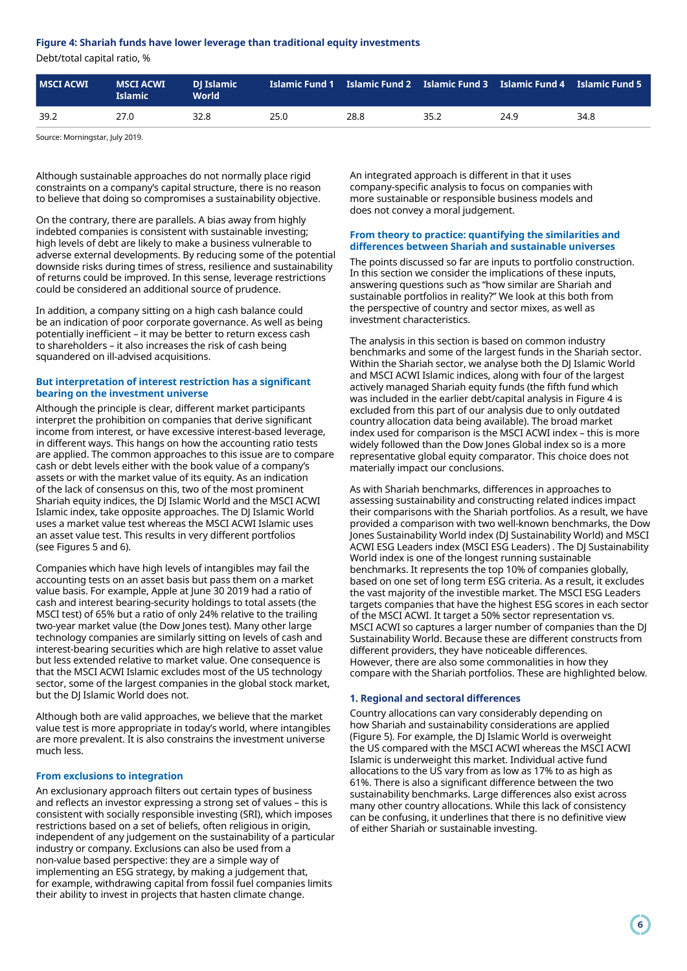# **Figure 4: Shariah funds have lower leverage than traditional equity investments**

Debt/total capital ratio, %

| <b>MSCI ACWI</b> | <b>MSCI ACWI</b><br><b>Islamic</b> | <b>DI Islamic</b><br><b>World</b> |      |      |      | <u>  Islamic Fund 1  Islamic Fund 2  Islamic Fund 3  Islamic Fund 4  Islamic Fund 5</u> |      |
|------------------|------------------------------------|-----------------------------------|------|------|------|-----------------------------------------------------------------------------------------|------|
| 39.2             | 27.0                               | 32.8                              | 25.0 | 28.8 | 35.2 | 24.9                                                                                    | 34.8 |
|                  |                                    |                                   |      |      |      |                                                                                         |      |

Source: Morningstar, July 2019.

Although sustainable approaches do not normally place rigid constraints on a company's capital structure, there is no reason to believe that doing so compromises a sustainability objective.

On the contrary, there are parallels. A bias away from highly indebted companies is consistent with sustainable investing; high levels of debt are likely to make a business vulnerable to adverse external developments. By reducing some of the potential downside risks during times of stress, resilience and sustainability of returns could be improved. In this sense, leverage restrictions could be considered an additional source of prudence.

In addition, a company sitting on a high cash balance could be an indication of poor corporate governance. As well as being potentially inefficient – it may be better to return excess cash to shareholders – it also increases the risk of cash being squandered on ill-advised acquisitions.

# **But interpretation of interest restriction has a significant bearing on the investment universe**

Although the principle is clear, different market participants interpret the prohibition on companies that derive significant income from interest, or have excessive interest-based leverage, in different ways. This hangs on how the accounting ratio tests are applied. The common approaches to this issue are to compare cash or debt levels either with the book value of a company's assets or with the market value of its equity. As an indication of the lack of consensus on this, two of the most prominent Shariah equity indices, the DJ Islamic World and the MSCI ACWI Islamic index, take opposite approaches. The DJ Islamic World uses a market value test whereas the MSCI ACWI Islamic uses an asset value test. This results in very different portfolios (see Figures 5 and 6).

Companies which have high levels of intangibles may fail the accounting tests on an asset basis but pass them on a market value basis. For example, Apple at June 30 2019 had a ratio of cash and interest bearing-security holdings to total assets (the MSCI test) of 65% but a ratio of only 24% relative to the trailing two-year market value (the Dow Jones test). Many other large technology companies are similarly sitting on levels of cash and interest-bearing securities which are high relative to asset value but less extended relative to market value. One consequence is that the MSCI ACWI Islamic excludes most of the US technology sector, some of the largest companies in the global stock market, but the DJ Islamic World does not.

Although both are valid approaches, we believe that the market value test is more appropriate in today's world, where intangibles are more prevalent. It is also constrains the investment universe much less.

# **From exclusions to integration**

An exclusionary approach filters out certain types of business and reflects an investor expressing a strong set of values – this is consistent with socially responsible investing (SRI), which imposes restrictions based on a set of beliefs, often religious in origin, independent of any judgement on the sustainability of a particular industry or company. Exclusions can also be used from a non-value based perspective: they are a simple way of implementing an ESG strategy, by making a judgement that, for example, withdrawing capital from fossil fuel companies limits their ability to invest in projects that hasten climate change.

An integrated approach is different in that it uses company-specific analysis to focus on companies with more sustainable or responsible business models and does not convey a moral judgement.

# **From theory to practice: quantifying the similarities and differences between Shariah and sustainable universes**

The points discussed so far are inputs to portfolio construction. In this section we consider the implications of these inputs, answering questions such as "how similar are Shariah and sustainable portfolios in reality?" We look at this both from the perspective of country and sector mixes, as well as investment characteristics.

The analysis in this section is based on common industry benchmarks and some of the largest funds in the Shariah sector. Within the Shariah sector, we analyse both the DJ Islamic World and MSCI ACWI Islamic indices, along with four of the largest actively managed Shariah equity funds (the fifth fund which was included in the earlier debt/capital analysis in Figure 4 is excluded from this part of our analysis due to only outdated country allocation data being available). The broad market index used for comparison is the MSCI ACWI index – this is more widely followed than the Dow Jones Global index so is a more representative global equity comparator. This choice does not materially impact our conclusions.

As with Shariah benchmarks, differences in approaches to assessing sustainability and constructing related indices impact their comparisons with the Shariah portfolios. As a result, we have provided a comparison with two well-known benchmarks, the Dow Jones Sustainability World index (DJ Sustainability World) and MSCI ACWI ESG Leaders index (MSCI ESG Leaders) . The DJ Sustainability World index is one of the longest running sustainable benchmarks. It represents the top 10% of companies globally, based on one set of long term ESG criteria. As a result, it excludes the vast majority of the investible market. The MSCI ESG Leaders targets companies that have the highest ESG scores in each sector of the MSCI ACWI. It target a 50% sector representation vs. MSCI ACWI so captures a larger number of companies than the DJ Sustainability World. Because these are different constructs from different providers, they have noticeable differences. However, there are also some commonalities in how they compare with the Shariah portfolios. These are highlighted below.

# **1. Regional and sectoral differences**

Country allocations can vary considerably depending on how Shariah and sustainability considerations are applied (Figure 5). For example, the DJ Islamic World is overweight the US compared with the MSCI ACWI whereas the MSCI ACWI Islamic is underweight this market. Individual active fund allocations to the US vary from as low as 17% to as high as 61%. There is also a significant difference between the two sustainability benchmarks. Large differences also exist across many other country allocations. While this lack of consistency can be confusing, it underlines that there is no definitive view of either Shariah or sustainable investing.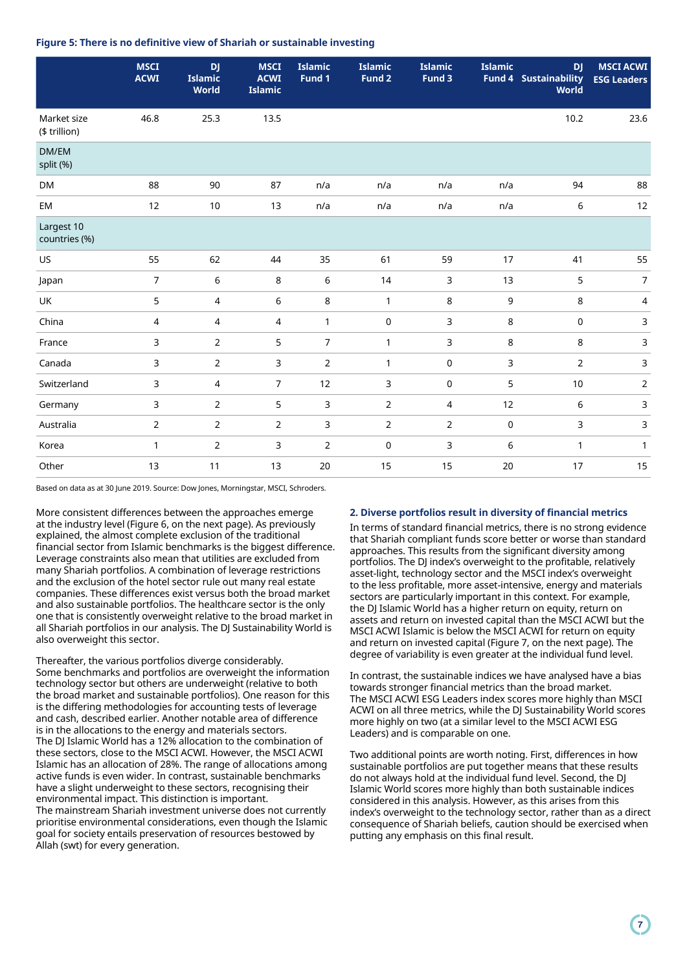# **Figure 5: There is no definitive view of Shariah or sustainable investing**

|                              | <b>MSCI</b><br><b>ACWI</b> | <b>DJ</b><br><b>Islamic</b><br>World | <b>MSCI</b><br><b>ACWI</b><br><b>Islamic</b> | <b>Islamic</b><br>Fund 1 | <b>Islamic</b><br>Fund 2 | <b>Islamic</b><br>Fund 3 | <b>Islamic</b> | <b>DJ</b><br><b>Fund 4 Sustainability</b><br>World | <b>MSCI ACWI</b><br><b>ESG Leaders</b> |
|------------------------------|----------------------------|--------------------------------------|----------------------------------------------|--------------------------|--------------------------|--------------------------|----------------|----------------------------------------------------|----------------------------------------|
| Market size<br>(\$ trillion) | 46.8                       | 25.3                                 | 13.5                                         |                          |                          |                          |                | 10.2                                               | 23.6                                   |
| DM/EM<br>split (%)           |                            |                                      |                                              |                          |                          |                          |                |                                                    |                                        |
| <b>DM</b>                    | 88                         | 90                                   | 87                                           | n/a                      | n/a                      | n/a                      | n/a            | 94                                                 | 88                                     |
| EM                           | 12                         | 10                                   | 13                                           | n/a                      | n/a                      | n/a                      | n/a            | $\,$ 6 $\,$                                        | 12                                     |
| Largest 10<br>countries (%)  |                            |                                      |                                              |                          |                          |                          |                |                                                    |                                        |
| US                           | 55                         | 62                                   | 44                                           | 35                       | 61                       | 59                       | 17             | 41                                                 | 55                                     |
| Japan                        | $\overline{7}$             | 6                                    | 8                                            | 6                        | 14                       | $\overline{3}$           | 13             | 5                                                  | $\overline{7}$                         |
| UK                           | 5                          | 4                                    | 6                                            | 8                        | $\mathbf{1}$             | $\,8\,$                  | 9              | $\,8\,$                                            | 4                                      |
| China                        | 4                          | 4                                    | 4                                            | 1                        | $\pmb{0}$                | 3                        | 8              | 0                                                  | 3                                      |
| France                       | $\mathsf{3}$               | $\overline{2}$                       | 5                                            | $\overline{7}$           | $\mathbf{1}$             | $\overline{3}$           | 8              | 8                                                  | 3                                      |
| Canada                       | $\mathbf{3}$               | $\overline{2}$                       | 3                                            | $\overline{2}$           | $\mathbf{1}$             | $\mathsf 0$              | 3              | $\overline{2}$                                     | 3                                      |
| Switzerland                  | $\mathsf 3$                | $\overline{4}$                       | $\overline{7}$                               | 12                       | 3                        | $\pmb{0}$                | 5              | $10\,$                                             | $\overline{2}$                         |
| Germany                      | $\mathsf{3}$               | $\overline{2}$                       | 5                                            | 3                        | $\overline{2}$           | $\overline{4}$           | 12             | 6                                                  | 3                                      |
| Australia                    | $\mathbf 2$                | $\overline{2}$                       | $\overline{2}$                               | 3                        | $\overline{2}$           | $\overline{2}$           | $\pmb{0}$      | 3                                                  | 3                                      |
| Korea                        | $\mathbf{1}$               | $\overline{2}$                       | 3                                            | $\overline{2}$           | $\pmb{0}$                | 3                        | 6              | $\mathbf{1}$                                       | $\mathbf{1}$                           |
| Other                        | 13                         | 11                                   | 13                                           | 20                       | 15                       | 15                       | 20             | 17                                                 | 15                                     |
|                              |                            |                                      |                                              |                          |                          |                          |                |                                                    |                                        |

Based on data as at 30 June 2019. Source: Dow Jones, Morningstar, MSCI, Schroders.

More consistent differences between the approaches emerge at the industry level (Figure 6, on the next page). As previously explained, the almost complete exclusion of the traditional financial sector from Islamic benchmarks is the biggest difference. Leverage constraints also mean that utilities are excluded from many Shariah portfolios. A combination of leverage restrictions and the exclusion of the hotel sector rule out many real estate companies. These differences exist versus both the broad market and also sustainable portfolios. The healthcare sector is the only one that is consistently overweight relative to the broad market in all Shariah portfolios in our analysis. The DJ Sustainability World is also overweight this sector.

Thereafter, the various portfolios diverge considerably. Some benchmarks and portfolios are overweight the information technology sector but others are underweight (relative to both the broad market and sustainable portfolios). One reason for this is the differing methodologies for accounting tests of leverage and cash, described earlier. Another notable area of difference is in the allocations to the energy and materials sectors. The DJ Islamic World has a 12% allocation to the combination of these sectors, close to the MSCI ACWI. However, the MSCI ACWI Islamic has an allocation of 28%. The range of allocations among active funds is even wider. In contrast, sustainable benchmarks have a slight underweight to these sectors, recognising their environmental impact. This distinction is important. The mainstream Shariah investment universe does not currently prioritise environmental considerations, even though the Islamic goal for society entails preservation of resources bestowed by Allah (swt) for every generation.

# **2. Diverse portfolios result in diversity of financial metrics**

In terms of standard financial metrics, there is no strong evidence that Shariah compliant funds score better or worse than standard approaches. This results from the significant diversity among portfolios. The DJ index's overweight to the profitable, relatively asset-light, technology sector and the MSCI index's overweight to the less profitable, more asset-intensive, energy and materials sectors are particularly important in this context. For example, the DJ Islamic World has a higher return on equity, return on assets and return on invested capital than the MSCI ACWI but the MSCI ACWI Islamic is below the MSCI ACWI for return on equity and return on invested capital (Figure 7, on the next page). The degree of variability is even greater at the individual fund level.

In contrast, the sustainable indices we have analysed have a bias towards stronger financial metrics than the broad market. The MSCI ACWI ESG Leaders index scores more highly than MSCI ACWI on all three metrics, while the DJ Sustainability World scores more highly on two (at a similar level to the MSCI ACWI ESG Leaders) and is comparable on one.

Two additional points are worth noting. First, differences in how sustainable portfolios are put together means that these results do not always hold at the individual fund level. Second, the DJ Islamic World scores more highly than both sustainable indices considered in this analysis. However, as this arises from this index's overweight to the technology sector, rather than as a direct consequence of Shariah beliefs, caution should be exercised when putting any emphasis on this final result.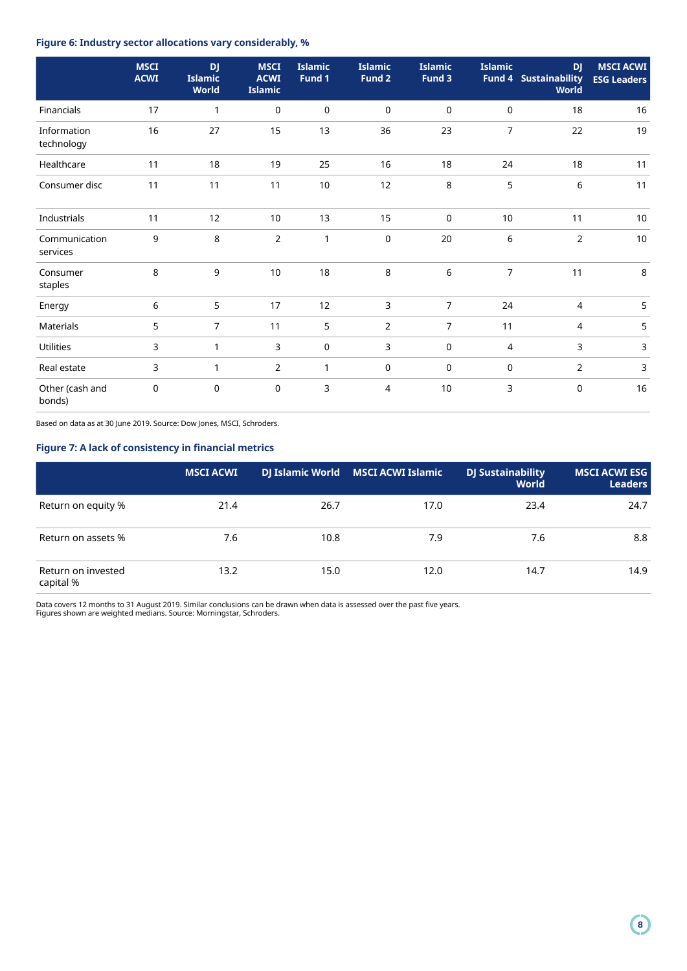# **Figure 6: Industry sector allocations vary considerably, %**

|                           | <b>MSCI</b><br><b>ACWI</b> | <b>DJ</b><br><b>Islamic</b> | <b>MSCI</b><br><b>ACWI</b> | <b>Islamic</b><br>Fund 1 | <b>Islamic</b><br>Fund 2 | <b>Islamic</b><br>Fund 3 | <b>Islamic</b> | <b>DJ</b><br><b>Fund 4 Sustainability</b> | <b>MSCI ACWI</b><br><b>ESG Leaders</b> |
|---------------------------|----------------------------|-----------------------------|----------------------------|--------------------------|--------------------------|--------------------------|----------------|-------------------------------------------|----------------------------------------|
|                           |                            | <b>World</b>                | <b>Islamic</b>             |                          |                          |                          |                | <b>World</b>                              |                                        |
| Financials                | 17                         | 1                           | $\mathbf 0$                | $\mathbf 0$              | $\mathbf 0$              | $\mathsf 0$              | $\mathbf 0$    | 18                                        | 16                                     |
| Information<br>technology | 16                         | 27                          | 15                         | 13                       | 36                       | 23                       | $\overline{7}$ | 22                                        | 19                                     |
| Healthcare                | 11                         | 18                          | 19                         | 25                       | 16                       | 18                       | 24             | 18                                        | 11                                     |
| Consumer disc             | 11                         | 11                          | 11                         | 10                       | 12                       | $\,8\,$                  | 5              | 6                                         | 11                                     |
| Industrials               | 11                         | 12                          | 10                         | 13                       | 15                       | $\mathbf 0$              | 10             | 11                                        | 10                                     |
| Communication<br>services | 9                          | 8                           | $\overline{2}$             | $\mathbf{1}$             | $\mathbf 0$              | 20                       | 6              | $\mathbf 2$                               | $10$                                   |
| Consumer<br>staples       | 8                          | 9                           | 10                         | 18                       | 8                        | 6                        | $\overline{7}$ | 11                                        | $\,8\,$                                |
| Energy                    | 6                          | 5                           | 17                         | 12                       | 3                        | $\overline{7}$           | 24             | 4                                         | 5                                      |
| <b>Materials</b>          | 5                          | $\overline{7}$              | 11                         | 5                        | 2                        | $\overline{7}$           | 11             | 4                                         | 5                                      |
| <b>Utilities</b>          | 3                          | 1                           | 3                          | $\mathbf 0$              | 3                        | $\mathbf 0$              | $\overline{4}$ | 3                                         | 3                                      |
| Real estate               | 3                          | $\mathbf{1}$                | 2                          | $\mathbf{1}$             | 0                        | $\mathbf 0$              | $\mathbf 0$    | $\overline{2}$                            | 3                                      |
| Other (cash and<br>bonds) | $\mathbf 0$                | $\mathbf 0$                 | $\mathbf 0$                | 3                        | 4                        | 10                       | 3              | $\mathbf 0$                               | 16                                     |

Based on data as at 30 June 2019. Source: Dow Jones, MSCI, Schroders.

# **Figure 7: A lack of consistency in financial metrics**

|                                 | <b>MSCI ACWI</b> |      | DJ Islamic World MSCI ACWI Islamic | <b>DJ Sustainability</b><br><b>World</b> | <b>MSCI ACWI ESG</b><br><b>Leaders</b> |
|---------------------------------|------------------|------|------------------------------------|------------------------------------------|----------------------------------------|
| Return on equity %              | 21.4             | 26.7 | 17.0                               | 23.4                                     | 24.7                                   |
| Return on assets %              | 7.6              | 10.8 | 7.9                                | 7.6                                      | 8.8                                    |
| Return on invested<br>capital % | 13.2             | 15.0 | 12.0                               | 14.7                                     | 14.9                                   |

Data covers 12 months to 31 August 2019. Similar conclusions can be drawn when data is assessed over the past five years. Figures shown are weighted medians. Source: Morningstar, Schroders.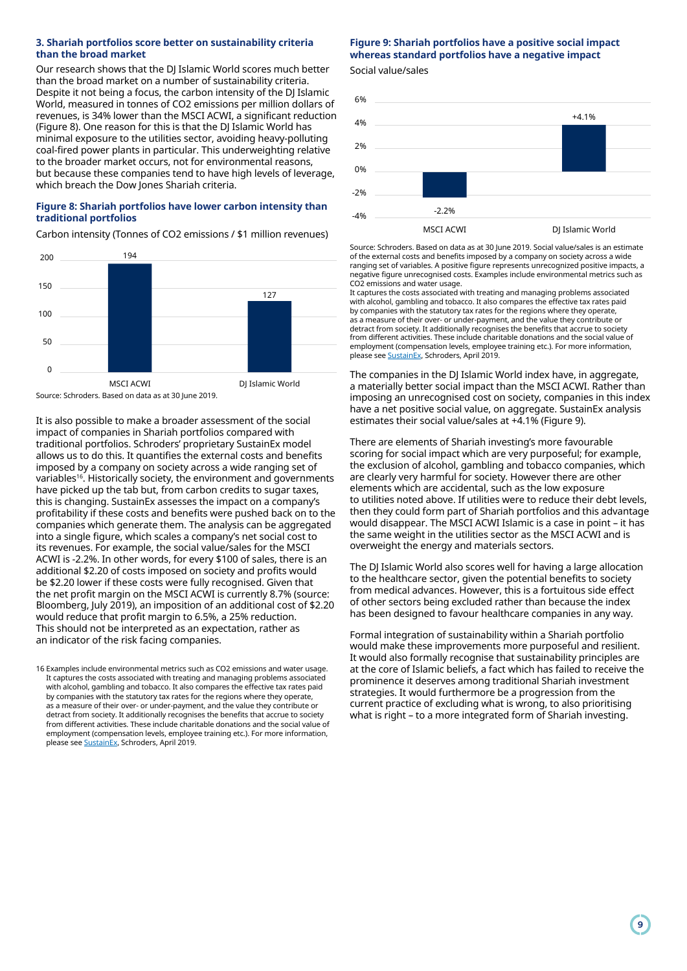## **3. Shariah portfolios score better on sustainability criteria than the broad market**

Our research shows that the DJ Islamic World scores much better than the broad market on a number of sustainability criteria. Despite it not being a focus, the carbon intensity of the DJ Islamic World, measured in tonnes of CO2 emissions per million dollars of revenues, is 34% lower than the MSCI ACWI, a significant reduction (Figure 8). One reason for this is that the DJ Islamic World has minimal exposure to the utilities sector, avoiding heavy-polluting coal-fired power plants in particular. This underweighting relative to the broader market occurs, not for environmental reasons, but because these companies tend to have high levels of leverage, which breach the Dow Jones Shariah criteria.

# **Figure 8: Shariah portfolios have lower carbon intensity than traditional portfolios**

Carbon intensity (Tonnes of CO2 emissions / \$1 million revenues)



It is also possible to make a broader assessment of the social impact of companies in Shariah portfolios compared with traditional portfolios. Schroders' proprietary SustainEx model allows us to do this. It quantifies the external costs and benefits imposed by a company on society across a wide ranging set of variables<sup>16</sup>. Historically society, the environment and governments have picked up the tab but, from carbon credits to sugar taxes, this is changing. SustainEx assesses the impact on a company's profitability if these costs and benefits were pushed back on to the companies which generate them. The analysis can be aggregated into a single figure, which scales a company's net social cost to its revenues. For example, the social value/sales for the MSCI ACWI is -2.2%. In other words, for every \$100 of sales, there is an additional \$2.20 of costs imposed on society and profits would be \$2.20 lower if these costs were fully recognised. Given that the net profit margin on the MSCI ACWI is currently 8.7% (source: Bloomberg, July 2019), an imposition of an additional cost of \$2.20 would reduce that profit margin to 6.5%, a 25% reduction. This should not be interpreted as an expectation, rather as an indicator of the risk facing companies.

16 Examples include environmental metrics such as CO2 emissions and water usage. It captures the costs associated with treating and managing problems associated with alcohol, gambling and tobacco. It also compares the effective tax rates paid by companies with the statutory tax rates for the regions where they operate, as a measure of their over- or under-payment, and the value they contribute or detract from society. It additionally recognises the benefits that accrue to society from different activities. These include charitable donations and the social value of employment (compensation levels, employee training etc.). For more information, please see [SustainEx](https://www.schroders.com/en/lu/professional-investor/insights/thought-leadership/sustainex-quantifying-the-hidden-costs-of-companies-social-impacts/), Schroders, April 2019.

# **Figure 9: Shariah portfolios have a positive social impact whereas standard portfolios have a negative impact**

Social value/sales



Source: Schroders. Based on data as at 30 June 2019. Social value/sales is an estimate of the external costs and benefits imposed by a company on society across a wide ranging set of variables. A positive figure represents unrecognized positive impacts, a negative figure unrecognised costs. Examples include environmental metrics such as CO2 emissions and water usage.

It captures the costs associated with treating and managing problems associated with alcohol, gambling and tobacco. It also compares the effective tax rates paid by companies with the statutory tax rates for the regions where they operate, as a measure of their over- or under-payment, and the value they contribute or detract from society. It additionally recognises the benefits that accrue to society from different activities. These include charitable donations and the social value of employment (compensation levels, employee training etc.). For more information, please see [SustainEx](https://www.schroders.com/en/lu/professional-investor/insights/thought-leadership/sustainex-quantifying-the-hidden-costs-of-companies-social-impacts/), Schroders, April 2019.

The companies in the DJ Islamic World index have, in aggregate, a materially better social impact than the MSCI ACWI. Rather than imposing an unrecognised cost on society, companies in this index have a net positive social value, on aggregate. SustainEx analysis estimates their social value/sales at +4.1% (Figure 9).

There are elements of Shariah investing's more favourable scoring for social impact which are very purposeful; for example, the exclusion of alcohol, gambling and tobacco companies, which are clearly very harmful for society. However there are other elements which are accidental, such as the low exposure to utilities noted above. If utilities were to reduce their debt levels, then they could form part of Shariah portfolios and this advantage would disappear. The MSCI ACWI Islamic is a case in point – it has the same weight in the utilities sector as the MSCI ACWI and is overweight the energy and materials sectors.

The DJ Islamic World also scores well for having a large allocation to the healthcare sector, given the potential benefits to society from medical advances. However, this is a fortuitous side effect of other sectors being excluded rather than because the index has been designed to favour healthcare companies in any way.

Formal integration of sustainability within a Shariah portfolio would make these improvements more purposeful and resilient. It would also formally recognise that sustainability principles are at the core of Islamic beliefs, a fact which has failed to receive the prominence it deserves among traditional Shariah investment strategies. It would furthermore be a progression from the current practice of excluding what is wrong, to also prioritising what is right – to a more integrated form of Shariah investing.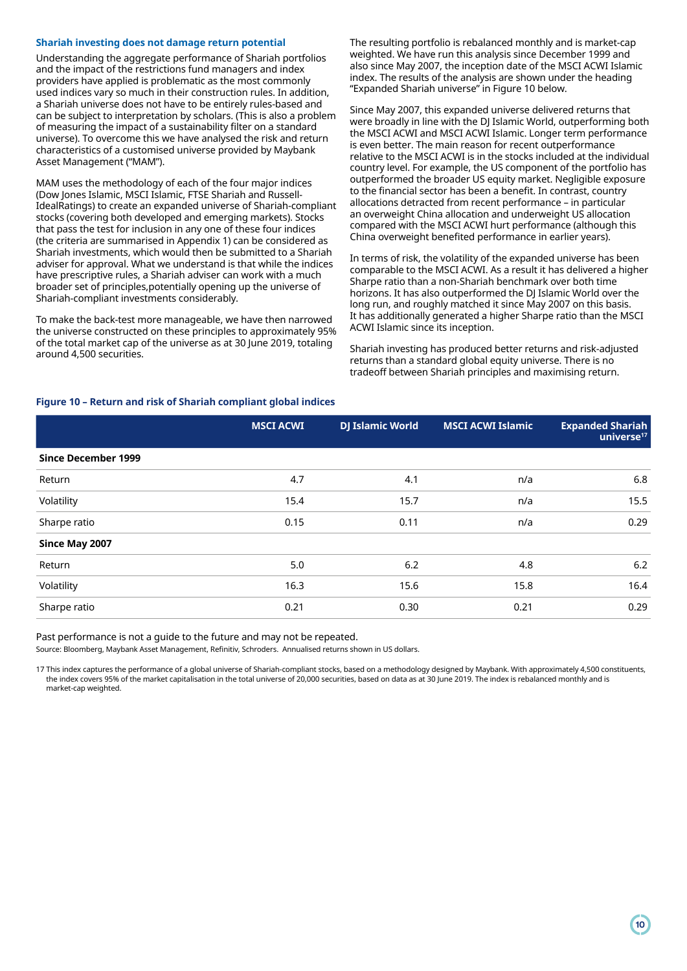# **Shariah investing does not damage return potential**

Understanding the aggregate performance of Shariah portfolios and the impact of the restrictions fund managers and index providers have applied is problematic as the most commonly used indices vary so much in their construction rules. In addition, a Shariah universe does not have to be entirely rules-based and can be subject to interpretation by scholars. (This is also a problem of measuring the impact of a sustainability filter on a standard universe). To overcome this we have analysed the risk and return characteristics of a customised universe provided by Maybank Asset Management ("MAM").

MAM uses the methodology of each of the four major indices (Dow Jones Islamic, MSCI Islamic, FTSE Shariah and Russell-IdealRatings) to create an expanded universe of Shariah-compliant stocks (covering both developed and emerging markets). Stocks that pass the test for inclusion in any one of these four indices (the criteria are summarised in Appendix 1) can be considered as Shariah investments, which would then be submitted to a Shariah adviser for approval. What we understand is that while the indices have prescriptive rules, a Shariah adviser can work with a much broader set of principles,potentially opening up the universe of Shariah-compliant investments considerably.

To make the back-test more manageable, we have then narrowed the universe constructed on these principles to approximately 95% of the total market cap of the universe as at 30 June 2019, totaling around 4,500 securities.

The resulting portfolio is rebalanced monthly and is market-cap weighted. We have run this analysis since December 1999 and also since May 2007, the inception date of the MSCI ACWI Islamic index. The results of the analysis are shown under the heading "Expanded Shariah universe" in Figure 10 below.

Since May 2007, this expanded universe delivered returns that were broadly in line with the DJ Islamic World, outperforming both the MSCI ACWI and MSCI ACWI Islamic. Longer term performance is even better. The main reason for recent outperformance relative to the MSCI ACWI is in the stocks included at the individual country level. For example, the US component of the portfolio has outperformed the broader US equity market. Negligible exposure to the financial sector has been a benefit. In contrast, country allocations detracted from recent performance – in particular an overweight China allocation and underweight US allocation compared with the MSCI ACWI hurt performance (although this China overweight benefited performance in earlier years).

In terms of risk, the volatility of the expanded universe has been comparable to the MSCI ACWI. As a result it has delivered a higher Sharpe ratio than a non-Shariah benchmark over both time horizons. It has also outperformed the DJ Islamic World over the long run, and roughly matched it since May 2007 on this basis. It has additionally generated a higher Sharpe ratio than the MSCI ACWI Islamic since its inception.

Shariah investing has produced better returns and risk-adjusted returns than a standard global equity universe. There is no tradeoff between Shariah principles and maximising return.

# **Figure 10 – Return and risk of Shariah compliant global indices**

|                            | <b>MSCI ACWI</b> | <b>DJ Islamic World</b> | <b>MSCI ACWI Islamic</b> | <b>Expanded Shariah</b><br>universe <sup>17</sup> |
|----------------------------|------------------|-------------------------|--------------------------|---------------------------------------------------|
| <b>Since December 1999</b> |                  |                         |                          |                                                   |
| Return                     | 4.7              | 4.1                     | n/a                      | 6.8                                               |
| Volatility                 | 15.4             | 15.7                    | n/a                      | 15.5                                              |
| Sharpe ratio               | 0.15             | 0.11                    | n/a                      | 0.29                                              |
| Since May 2007             |                  |                         |                          |                                                   |
| Return                     | 5.0              | 6.2                     | 4.8                      | 6.2                                               |
| Volatility                 | 16.3             | 15.6                    | 15.8                     | 16.4                                              |
| Sharpe ratio               | 0.21             | 0.30                    | 0.21                     | 0.29                                              |

Past performance is not a guide to the future and may not be repeated.

Source: Bloomberg, Maybank Asset Management, Refinitiv, Schroders. Annualised returns shown in US dollars.

17 This index captures the performance of a global universe of Shariah-compliant stocks, based on a methodology designed by Maybank. With approximately 4,500 constituents, the index covers 95% of the market capitalisation in the total universe of 20,000 securities, based on data as at 30 June 2019. The index is rebalanced monthly and is market-cap weighted.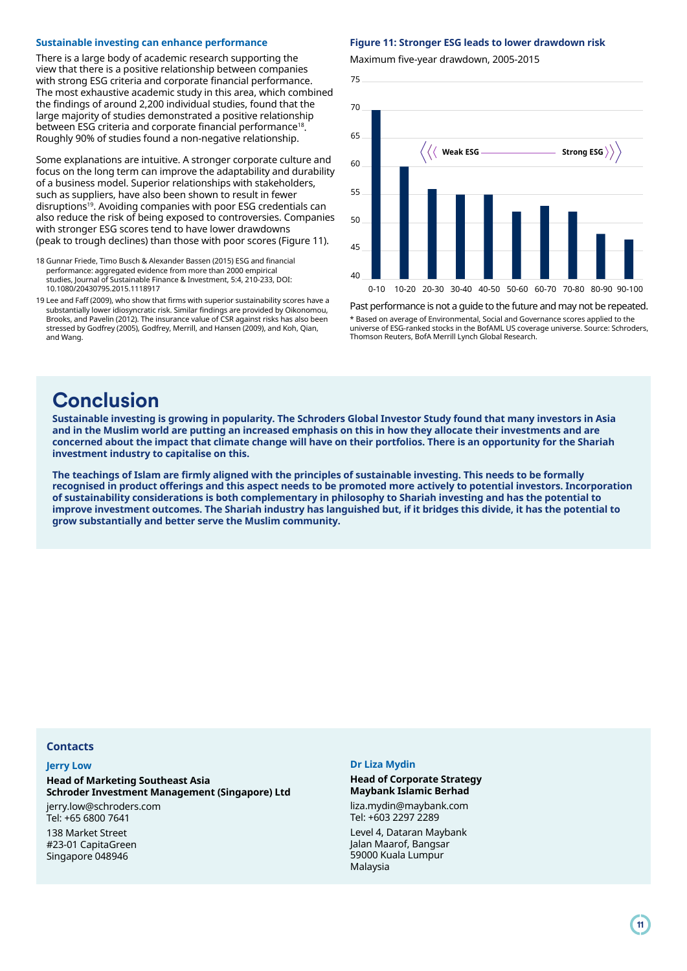#### **Sustainable investing can enhance performance**

There is a large body of academic research supporting the view that there is a positive relationship between companies with strong ESG criteria and corporate financial performance. The most exhaustive academic study in this area, which combined the findings of around 2,200 individual studies, found that the large majority of studies demonstrated a positive relationship between ESG criteria and corporate financial performance<sup>18</sup>. Roughly 90% of studies found a non-negative relationship.

Some explanations are intuitive. A stronger corporate culture and focus on the long term can improve the adaptability and durability of a business model. Superior relationships with stakeholders, such as suppliers, have also been shown to result in fewer disruptions<sup>19</sup>. Avoiding companies with poor ESG credentials can also reduce the risk of being exposed to controversies. Companies with stronger ESG scores tend to have lower drawdowns (peak to trough declines) than those with poor scores (Figure 11).

- 18 Gunnar Friede, Timo Busch & Alexander Bassen (2015) ESG and financial performance: aggregated evidence from more than 2000 empirical studies, Journal of Sustainable Finance & Investment, 5:4, 210-233, DOI: 10.1080/20430795.2015.1118917
- 19 Lee and Faff (2009), who show that firms with superior sustainability scores have a substantially lower idiosyncratic risk. Similar findings are provided by Oikonomou, Brooks, and Pavelin (2012). The insurance value of CSR against risks has also been stressed by Godfrey (2005), Godfrey, Merrill, and Hansen (2009), and Koh, Qian, and Wang.

#### **Figure 11: Stronger ESG leads to lower drawdown risk**

Maximum five-year drawdown, 2005-2015



Past performance is not a guide to the future and may not be repeated. \* Based on average of Environmental, Social and Governance scores applied to the universe of ESG-ranked stocks in the BofAML US coverage universe. Source: Schroders, Thomson Reuters, BofA Merrill Lynch Global Research.

# **Conclusion**

**Sustainable investing is growing in popularity. The Schroders Global Investor Study found that many investors in Asia and in the Muslim world are putting an increased emphasis on this in how they allocate their investments and are concerned about the impact that climate change will have on their portfolios. There is an opportunity for the Shariah investment industry to capitalise on this.** 

**The teachings of Islam are firmly aligned with the principles of sustainable investing. This needs to be formally recognised in product offerings and this aspect needs to be promoted more actively to potential investors. Incorporation of sustainability considerations is both complementary in philosophy to Shariah investing and has the potential to improve investment outcomes. The Shariah industry has languished but, if it bridges this divide, it has the potential to grow substantially and better serve the Muslim community.**

# **Contacts**

#### **Jerry Low**

**Head of Marketing Southeast Asia Schroder Investment Management (Singapore) Ltd**

jerry.low@schroders.com Tel: +65 6800 7641

138 Market Street #23-01 CapitaGreen Singapore 048946

## **Dr Liza Mydin**

## **Head of Corporate Strategy Maybank Islamic Berhad**  liza.mydin@maybank.com

Tel: +603 2297 2289 Level 4, Dataran Maybank Jalan Maarof, Bangsar 59000 Kuala Lumpur Malaysia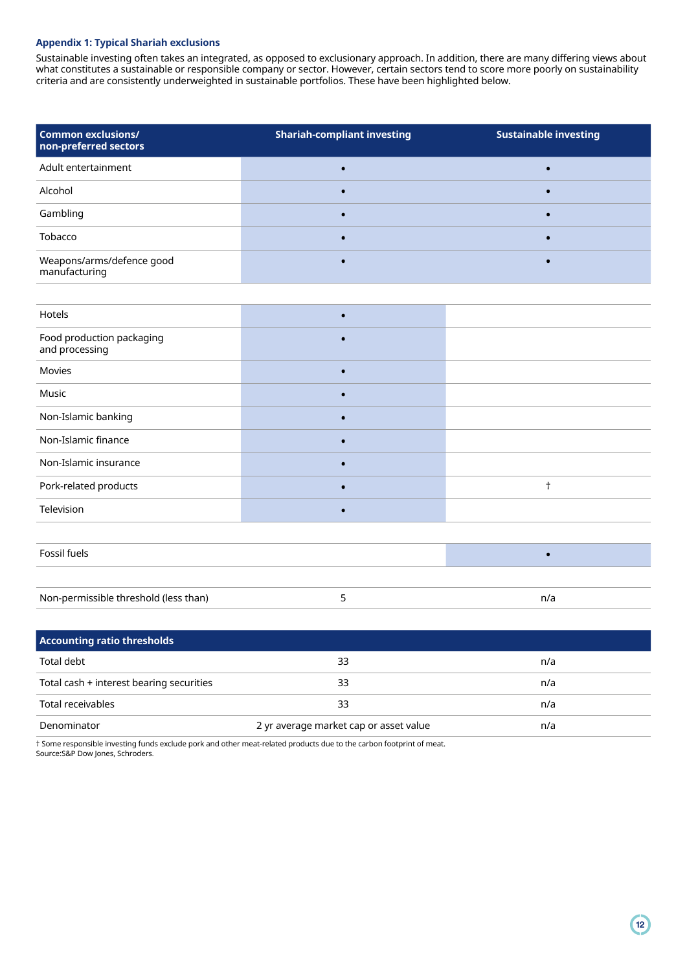# **Appendix 1: Typical Shariah exclusions**

Sustainable investing often takes an integrated, as opposed to exclusionary approach. In addition, there are many differing views about what constitutes a sustainable or responsible company or sector. However, certain sectors tend to score more poorly on sustainability criteria and are consistently underweighted in sustainable portfolios. These have been highlighted below.

| <b>Common exclusions/</b><br>non-preferred sectors | <b>Shariah-compliant investing</b> | <b>Sustainable investing</b> |
|----------------------------------------------------|------------------------------------|------------------------------|
| Adult entertainment                                |                                    |                              |
| Alcohol                                            |                                    |                              |
| Gambling                                           |                                    |                              |
| Tobacco                                            |                                    |                              |
| Weapons/arms/defence good<br>manufacturing         |                                    |                              |

| Hotels                                      | $\bullet$ |            |  |  |  |  |
|---------------------------------------------|-----------|------------|--|--|--|--|
| Food production packaging<br>and processing | $\bullet$ |            |  |  |  |  |
| Movies                                      | $\bullet$ |            |  |  |  |  |
| Music                                       | $\bullet$ |            |  |  |  |  |
| Non-Islamic banking                         | $\bullet$ |            |  |  |  |  |
| Non-Islamic finance                         | $\bullet$ |            |  |  |  |  |
| Non-Islamic insurance                       | $\bullet$ |            |  |  |  |  |
| Pork-related products                       | $\bullet$ | $\ddagger$ |  |  |  |  |
| Television                                  | $\bullet$ |            |  |  |  |  |
|                                             |           |            |  |  |  |  |
| Fossil fuels<br>$\bullet$                   |           |            |  |  |  |  |
|                                             |           |            |  |  |  |  |

| Non-permissible threshold (less than) |  |
|---------------------------------------|--|
|                                       |  |

| <b>Accounting ratio thresholds</b>       |                                        |     |  |  |  |  |
|------------------------------------------|----------------------------------------|-----|--|--|--|--|
| Total debt                               | 33                                     | n/a |  |  |  |  |
| Total cash + interest bearing securities | 33                                     | n/a |  |  |  |  |
| Total receivables                        | 33                                     | n/a |  |  |  |  |
| Denominator                              | 2 yr average market cap or asset value | n/a |  |  |  |  |

† Some responsible investing funds exclude pork and other meat-related products due to the carbon footprint of meat. Source:S&P Dow Jones, Schroders.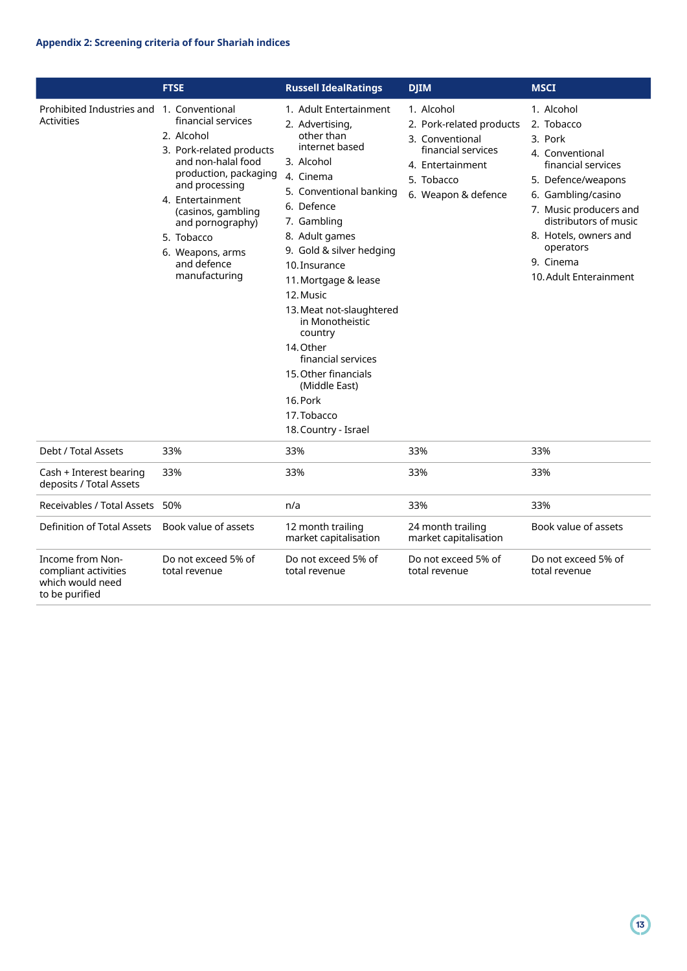|                                                                                | <b>FTSE</b>                                                                                                                                                                                                                                                   | <b>Russell IdealRatings</b>                                                                                                                                                                                                                                                                                                                                                                                                                               | <b>DJIM</b>                                                                                                                              | <b>MSCI</b>                                                                                                                                                                                                                                              |
|--------------------------------------------------------------------------------|---------------------------------------------------------------------------------------------------------------------------------------------------------------------------------------------------------------------------------------------------------------|-----------------------------------------------------------------------------------------------------------------------------------------------------------------------------------------------------------------------------------------------------------------------------------------------------------------------------------------------------------------------------------------------------------------------------------------------------------|------------------------------------------------------------------------------------------------------------------------------------------|----------------------------------------------------------------------------------------------------------------------------------------------------------------------------------------------------------------------------------------------------------|
| Prohibited Industries and 1. Conventional<br><b>Activities</b>                 | financial services<br>2. Alcohol<br>3. Pork-related products<br>and non-halal food<br>production, packaging<br>and processing<br>4. Entertainment<br>(casinos, gambling<br>and pornography)<br>5. Tobacco<br>6. Weapons, arms<br>and defence<br>manufacturing | 1. Adult Entertainment<br>2. Advertising,<br>other than<br>internet based<br>3. Alcohol<br>4. Cinema<br>5. Conventional banking<br>6. Defence<br>7. Gambling<br>8. Adult games<br>9. Gold & silver hedging<br>10. Insurance<br>11. Mortgage & lease<br>12. Music<br>13. Meat not-slaughtered<br>in Monotheistic<br>country<br>14. Other<br>financial services<br>15. Other financials<br>(Middle East)<br>16. Pork<br>17. Tobacco<br>18. Country - Israel | 1. Alcohol<br>2. Pork-related products<br>3. Conventional<br>financial services<br>4. Entertainment<br>5. Tobacco<br>6. Weapon & defence | 1. Alcohol<br>2. Tobacco<br>3. Pork<br>4. Conventional<br>financial services<br>5. Defence/weapons<br>6. Gambling/casino<br>7. Music producers and<br>distributors of music<br>8. Hotels, owners and<br>operators<br>9. Cinema<br>10. Adult Enterainment |
| Debt / Total Assets                                                            | 33%                                                                                                                                                                                                                                                           | 33%                                                                                                                                                                                                                                                                                                                                                                                                                                                       | 33%                                                                                                                                      | 33%                                                                                                                                                                                                                                                      |
| Cash + Interest bearing<br>deposits / Total Assets                             | 33%                                                                                                                                                                                                                                                           | 33%                                                                                                                                                                                                                                                                                                                                                                                                                                                       | 33%                                                                                                                                      | 33%                                                                                                                                                                                                                                                      |
| Receivables / Total Assets                                                     | 50%                                                                                                                                                                                                                                                           | n/a                                                                                                                                                                                                                                                                                                                                                                                                                                                       | 33%                                                                                                                                      | 33%                                                                                                                                                                                                                                                      |
| <b>Definition of Total Assets</b>                                              | Book value of assets                                                                                                                                                                                                                                          | 12 month trailing<br>market capitalisation                                                                                                                                                                                                                                                                                                                                                                                                                | 24 month trailing<br>market capitalisation                                                                                               | Book value of assets                                                                                                                                                                                                                                     |
| Income from Non-<br>compliant activities<br>which would need<br>to be purified | Do not exceed 5% of<br>total revenue                                                                                                                                                                                                                          | Do not exceed 5% of<br>total revenue                                                                                                                                                                                                                                                                                                                                                                                                                      | Do not exceed 5% of<br>total revenue                                                                                                     | Do not exceed 5% of<br>total revenue                                                                                                                                                                                                                     |